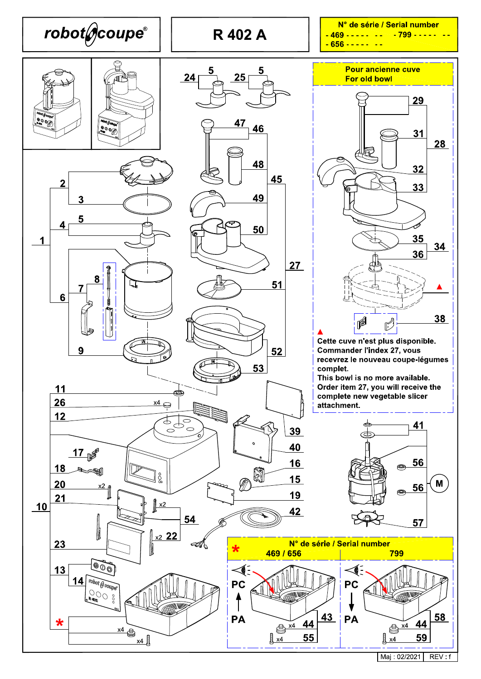

Maj: 02/2021 REV: f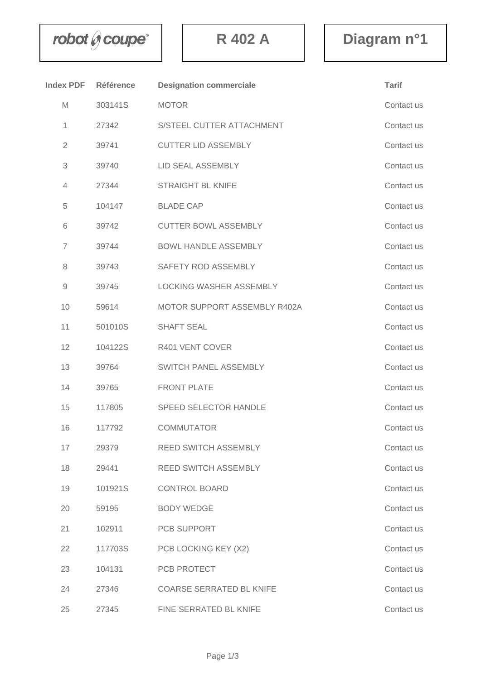$\mathbf{r}$  **bot**  $\theta$  **coupe**  $\begin{bmatrix} 1 & 1 \\ 1 & 1 \end{bmatrix}$  **R** 402 A **Diagram** n°1

| <b>Index PDF</b>       | <b>Référence</b> | <b>Designation commerciale</b>  | <b>Tarif</b> |
|------------------------|------------------|---------------------------------|--------------|
| M                      | 303141S          | <b>MOTOR</b>                    | Contact us   |
| 1                      | 27342            | S/STEEL CUTTER ATTACHMENT       | Contact us   |
| $\overline{2}$         | 39741            | <b>CUTTER LID ASSEMBLY</b>      | Contact us   |
| 3                      | 39740            | LID SEAL ASSEMBLY               | Contact us   |
| 4                      | 27344            | <b>STRAIGHT BL KNIFE</b>        | Contact us   |
| 5                      | 104147           | <b>BLADE CAP</b>                | Contact us   |
| 6                      | 39742            | <b>CUTTER BOWL ASSEMBLY</b>     | Contact us   |
| $\overline{7}$         | 39744            | <b>BOWL HANDLE ASSEMBLY</b>     | Contact us   |
| 8                      | 39743            | SAFETY ROD ASSEMBLY             | Contact us   |
| $\mathrel{\mathsf{g}}$ | 39745            | <b>LOCKING WASHER ASSEMBLY</b>  | Contact us   |
| 10                     | 59614            | MOTOR SUPPORT ASSEMBLY R402A    | Contact us   |
| 11                     | 501010S          | <b>SHAFT SEAL</b>               | Contact us   |
| 12                     | 104122S          | R401 VENT COVER                 | Contact us   |
| 13                     | 39764            | SWITCH PANEL ASSEMBLY           | Contact us   |
| 14                     | 39765            | <b>FRONT PLATE</b>              | Contact us   |
| 15                     | 117805           | <b>SPEED SELECTOR HANDLE</b>    | Contact us   |
| 16                     | 117792           | <b>COMMUTATOR</b>               | Contact us   |
| 17                     | 29379            | <b>REED SWITCH ASSEMBLY</b>     | Contact us   |
| 18                     | 29441            | REED SWITCH ASSEMBLY            | Contact us   |
| 19                     | 101921S          | <b>CONTROL BOARD</b>            | Contact us   |
| 20                     | 59195            | <b>BODY WEDGE</b>               | Contact us   |
| 21                     | 102911           | PCB SUPPORT                     | Contact us   |
| 22                     | 117703S          | PCB LOCKING KEY (X2)            | Contact us   |
| 23                     | 104131           | PCB PROTECT                     | Contact us   |
| 24                     | 27346            | <b>COARSE SERRATED BL KNIFE</b> | Contact us   |
| 25                     | 27345            | FINE SERRATED BL KNIFE          | Contact us   |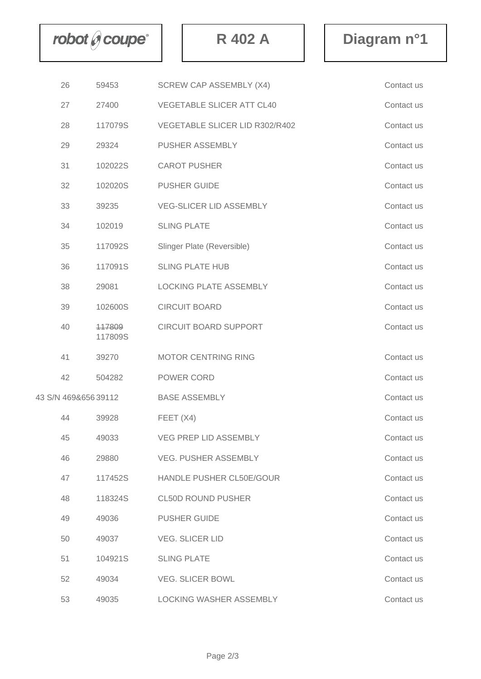$\mathbf{r}$  **bot**  $\theta$  **coupe**  $\begin{bmatrix} 1 & 1 \\ 1 & 1 \end{bmatrix}$  **R** 402 A **Diagram** n°1

|                     | 26 | 59453             | <b>SCREW CAP ASSEMBLY (X4)</b>   | Contact us |
|---------------------|----|-------------------|----------------------------------|------------|
|                     | 27 | 27400             | <b>VEGETABLE SLICER ATT CL40</b> | Contact us |
|                     | 28 | 117079S           | VEGETABLE SLICER LID R302/R402   | Contact us |
|                     | 29 | 29324             | PUSHER ASSEMBLY                  | Contact us |
|                     | 31 | 102022S           | <b>CAROT PUSHER</b>              | Contact us |
|                     | 32 | 102020S           | <b>PUSHER GUIDE</b>              | Contact us |
|                     | 33 | 39235             | <b>VEG-SLICER LID ASSEMBLY</b>   | Contact us |
|                     | 34 | 102019            | <b>SLING PLATE</b>               | Contact us |
|                     | 35 | 117092S           | Slinger Plate (Reversible)       | Contact us |
|                     | 36 | 117091S           | <b>SLING PLATE HUB</b>           | Contact us |
|                     | 38 | 29081             | LOCKING PLATE ASSEMBLY           | Contact us |
|                     | 39 | 102600S           | <b>CIRCUIT BOARD</b>             | Contact us |
|                     | 40 | 447809<br>117809S | <b>CIRCUIT BOARD SUPPORT</b>     | Contact us |
|                     | 41 | 39270             | <b>MOTOR CENTRING RING</b>       | Contact us |
|                     | 42 | 504282            | POWER CORD                       | Contact us |
| 43 S/N 469&65639112 |    |                   | <b>BASE ASSEMBLY</b>             | Contact us |
|                     | 44 | 39928             | FEET (X4)                        | Contact us |
|                     | 45 | 49033             | <b>VEG PREP LID ASSEMBLY</b>     | Contact us |
|                     | 46 | 29880             | <b>VEG. PUSHER ASSEMBLY</b>      | Contact us |
|                     | 47 | 117452S           | HANDLE PUSHER CL50E/GOUR         | Contact us |
|                     | 48 | 118324S           | <b>CL50D ROUND PUSHER</b>        | Contact us |
|                     | 49 | 49036             | <b>PUSHER GUIDE</b>              | Contact us |
|                     | 50 | 49037             | <b>VEG. SLICER LID</b>           | Contact us |
|                     | 51 | 104921S           | <b>SLING PLATE</b>               | Contact us |
|                     | 52 | 49034             | <b>VEG. SLICER BOWL</b>          | Contact us |
|                     | 53 | 49035             | LOCKING WASHER ASSEMBLY          | Contact us |